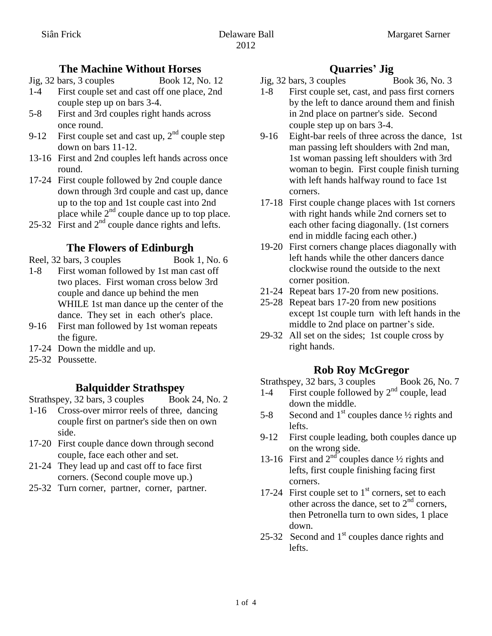## **The Machine Without Horses**

Jig, 32 bars, 3 couples Book 12, No. 12

- 1-4 First couple set and cast off one place, 2nd couple step up on bars 3-4.
- 5-8 First and 3rd couples right hands across once round.
- 9-12 First couple set and cast up,  $2<sup>nd</sup>$  couple step down on bars 11-12.
- 13-16 First and 2nd couples left hands across once round.
- 17-24 First couple followed by 2nd couple dance down through 3rd couple and cast up, dance up to the top and 1st couple cast into 2nd place while  $2<sup>nd</sup>$  couple dance up to top place.
- 25-32 First and  $2<sup>nd</sup>$  couple dance rights and lefts.

## **The Flowers of Edinburgh**

- Reel, 32 bars, 3 couples Book 1, No. 6
- 1-8 First woman followed by 1st man cast off two places. First woman cross below 3rd couple and dance up behind the men WHILE 1st man dance up the center of the dance. They set in each other's place.
- 9-16 First man followed by 1st woman repeats the figure.
- 17-24 Down the middle and up.
- 25-32 Poussette.

## **Balquidder Strathspey**

Strathspey, 32 bars, 3 couples Book 24, No. 2

- 1-16 Cross-over mirror reels of three, dancing couple first on partner's side then on own side.
- 17-20 First couple dance down through second couple, face each other and set.
- 21-24 They lead up and cast off to face first corners. (Second couple move up.)
- 25-32 Turn corner, partner, corner, partner.

## **Quarries' Jig**

- Jig, 32 bars, 3 couples Book 36, No. 3
- 1-8 First couple set, cast, and pass first corners by the left to dance around them and finish in 2nd place on partner's side. Second couple step up on bars 3-4.
- 9-16 Eight-bar reels of three across the dance, 1st man passing left shoulders with 2nd man, 1st woman passing left shoulders with 3rd woman to begin. First couple finish turning with left hands halfway round to face 1st corners.
- 17-18 First couple change places with 1st corners with right hands while 2nd corners set to each other facing diagonally. (1st corners end in middle facing each other.)
- 19-20 First corners change places diagonally with left hands while the other dancers dance clockwise round the outside to the next corner position.
- 21-24 Repeat bars 17-20 from new positions.
- 25-28 Repeat bars 17-20 from new positions except 1st couple turn with left hands in the middle to 2nd place on partner's side.
- 29-32 All set on the sides; 1st couple cross by right hands.

## **Rob Roy McGregor**

Strathspey, 32 bars, 3 couples Book 26, No. 7

- 1-4 First couple followed by 2<sup>nd</sup> couple, lead down the middle.
- 5-8 Second and  $1<sup>st</sup>$  couples dance  $\frac{1}{2}$  rights and lefts.
- 9-12 First couple leading, both couples dance up on the wrong side.
- 13-16 First and  $2<sup>nd</sup>$  couples dance  $\frac{1}{2}$  rights and lefts, first couple finishing facing first corners.
- 17-24 First couple set to  $1<sup>st</sup>$  corners, set to each other across the dance, set to  $2<sup>nd</sup>$  corners. then Petronella turn to own sides, 1 place down.
- 25-32 Second and  $1<sup>st</sup>$  couples dance rights and lefts.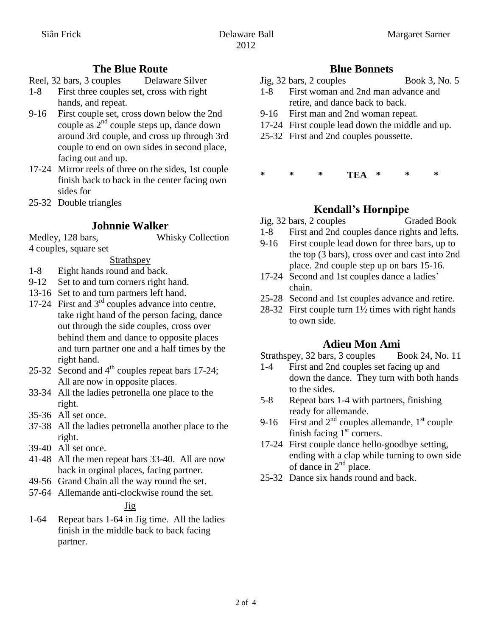## **The Blue Route**

- Reel, 32 bars, 3 couples Delaware Silver
- 1-8 First three couples set, cross with right hands, and repeat.
- 9-16 First couple set, cross down below the 2nd couple as  $2^{nd}$  couple steps up, dance down around 3rd couple, and cross up through 3rd couple to end on own sides in second place, facing out and up.
- 17-24 Mirror reels of three on the sides, 1st couple finish back to back in the center facing own sides for
- 25-32 Double triangles

## **Johnnie Walker**

Medley, 128 bars, Whisky Collection 4 couples, square set

- Strathspey
- 1-8 Eight hands round and back.
- 9-12 Set to and turn corners right hand.
- 13-16 Set to and turn partners left hand.
- 17-24 First and 3rd couples advance into centre, take right hand of the person facing, dance out through the side couples, cross over behind them and dance to opposite places and turn partner one and a half times by the right hand.
- 25-32 Second and  $4<sup>th</sup>$  couples repeat bars 17-24; All are now in opposite places.
- 33-34 All the ladies petronella one place to the right.
- 35-36 All set once.
- 37-38 All the ladies petronella another place to the right.
- 39-40 All set once.
- 41-48 All the men repeat bars 33-40. All are now back in orginal places, facing partner.
- 49-56 Grand Chain all the way round the set.
- 57-64 Allemande anti-clockwise round the set.

### Jig

1-64 Repeat bars 1-64 in Jig time. All the ladies finish in the middle back to back facing partner.

## **Blue Bonnets**

- Jig, 32 bars, 2 couples Book 3, No. 5
- 1-8 First woman and 2nd man advance and retire, and dance back to back.
- 9-16 First man and 2nd woman repeat.
- 17-24 First couple lead down the middle and up.
- 25-32 First and 2nd couples poussette.

#### **\* \* \* TEA \* \* \***

# **Kendall's Hornpipe**

- Jig, 32 bars, 2 couples Graded Book
- 1-8 First and 2nd couples dance rights and lefts.
- 9-16 First couple lead down for three bars, up to the top (3 bars), cross over and cast into 2nd place. 2nd couple step up on bars 15-16.
- 17-24 Second and 1st couples dance a ladies' chain.
- 25-28 Second and 1st couples advance and retire.
- 28-32 First couple turn 1½ times with right hands to own side.

## **Adieu Mon Ami**

Strathspey, 32 bars, 3 couples Book 24, No. 11

- 1-4 First and 2nd couples set facing up and down the dance. They turn with both hands to the sides.
- 5-8 Repeat bars 1-4 with partners, finishing ready for allemande.
- 9-16 First and  $2<sup>nd</sup>$  couples allemande,  $1<sup>st</sup>$  couple finish facing  $1<sup>st</sup>$  corners.
- 17-24 First couple dance hello-goodbye setting, ending with a clap while turning to own side of dance in  $2<sup>nd</sup>$  place.
- 25-32 Dance six hands round and back.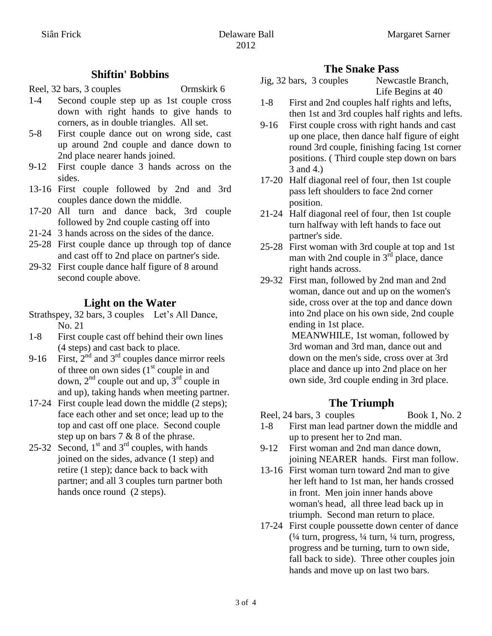#### **Shiftin' Bobbins**

Reel, 32 bars, 3 couples Ormskirk 6

- 1-4 Second couple step up as 1st couple cross down with right hands to give hands to corners, as in double triangles. All set.
- 5-8 First couple dance out on wrong side, cast up around 2nd couple and dance down to 2nd place nearer hands joined.
- 9-12 First couple dance 3 hands across on the sides.
- 13-16 First couple followed by 2nd and 3rd couples dance down the middle.
- 17-20 All turn and dance back, 3rd couple followed by 2nd couple casting off into
- 21-24 3 hands across on the sides of the dance.
- 25-28 First couple dance up through top of dance and cast off to 2nd place on partner's side.
- 29-32 First couple dance half figure of 8 around second couple above.

## **Light on the Water**

- Strathspey, 32 bars, 3 couples Let's All Dance, No. 21
- 1-8 First couple cast off behind their own lines (4 steps) and cast back to place.
- 9-16 First,  $2<sup>nd</sup>$  and  $3<sup>rd</sup>$  couples dance mirror reels of three on own sides  $(1<sup>st</sup>$  couple in and down,  $2^{nd}$  couple out and up,  $3^{rd}$  couple in and up), taking hands when meeting partner.
- 17-24 First couple lead down the middle (2 steps); face each other and set once; lead up to the top and cast off one place. Second couple step up on bars 7 & 8 of the phrase.
- 25-32 Second,  $1<sup>st</sup>$  and  $3<sup>rd</sup>$  couples, with hands joined on the sides, advance (1 step) and retire (1 step); dance back to back with partner; and all 3 couples turn partner both hands once round (2 steps).

- **The Snake Pass**<br> **Souples** Mewcastle Branch, Jig,  $32 \text{ bars}$ ,  $3 \text{ couples}$ Life Begins at 40
- 1-8 First and 2nd couples half rights and lefts, then 1st and 3rd couples half rights and lefts.
- 9-16 First couple cross with right hands and cast up one place, then dance half figure of eight round 3rd couple, finishing facing 1st corner positions. ( Third couple step down on bars 3 and 4.)
- 17-20 Half diagonal reel of four, then 1st couple pass left shoulders to face 2nd corner position.
- 21-24 Half diagonal reel of four, then 1st couple turn halfway with left hands to face out partner's side.
- 25-28 First woman with 3rd couple at top and 1st man with 2nd couple in  $3<sup>rd</sup>$  place, dance right hands across.
- 29-32 First man, followed by 2nd man and 2nd woman, dance out and up on the women's side, cross over at the top and dance down into 2nd place on his own side, 2nd couple ending in 1st place.

MEANWHILE, 1st woman, followed by 3rd woman and 3rd man, dance out and down on the men's side, cross over at 3rd place and dance up into 2nd place on her own side, 3rd couple ending in 3rd place.

## **The Triumph**

- Reel, 24 bars, 3 couples Book 1, No. 2
- 1-8 First man lead partner down the middle and up to present her to 2nd man.
- 9-12 First woman and 2nd man dance down, joining NEARER hands. First man follow.
- 13-16 First woman turn toward 2nd man to give her left hand to 1st man, her hands crossed in front. Men join inner hands above woman's head, all three lead back up in triumph. Second man return to place.
- 17-24 First couple poussette down center of dance  $\frac{1}{4}$  turn, progress,  $\frac{1}{4}$  turn,  $\frac{1}{4}$  turn, progress, progress and be turning, turn to own side, fall back to side). Three other couples join hands and move up on last two bars.